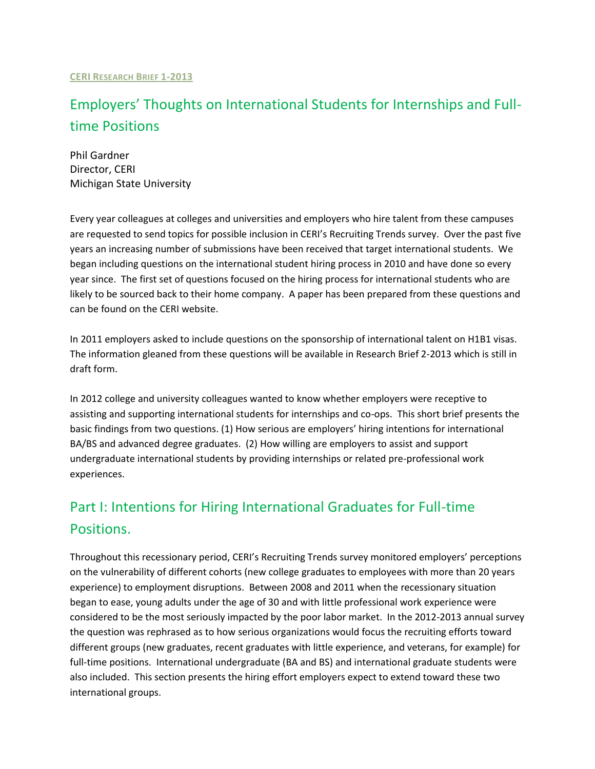# Employers' Thoughts on International Students for Internships and Fulltime Positions

Phil Gardner Director, CERI Michigan State University

Every year colleagues at colleges and universities and employers who hire talent from these campuses are requested to send topics for possible inclusion in CERI's Recruiting Trends survey. Over the past five years an increasing number of submissions have been received that target international students. We began including questions on the international student hiring process in 2010 and have done so every year since. The first set of questions focused on the hiring process for international students who are likely to be sourced back to their home company. A paper has been prepared from these questions and can be found on the CERI website.

In 2011 employers asked to include questions on the sponsorship of international talent on H1B1 visas. The information gleaned from these questions will be available in Research Brief 2-2013 which is still in draft form.

In 2012 college and university colleagues wanted to know whether employers were receptive to assisting and supporting international students for internships and co-ops. This short brief presents the basic findings from two questions. (1) How serious are employers' hiring intentions for international BA/BS and advanced degree graduates. (2) How willing are employers to assist and support undergraduate international students by providing internships or related pre-professional work experiences.

# Part I: Intentions for Hiring International Graduates for Full-time Positions.

Throughout this recessionary period, CERI's Recruiting Trends survey monitored employers' perceptions on the vulnerability of different cohorts (new college graduates to employees with more than 20 years experience) to employment disruptions. Between 2008 and 2011 when the recessionary situation began to ease, young adults under the age of 30 and with little professional work experience were considered to be the most seriously impacted by the poor labor market. In the 2012-2013 annual survey the question was rephrased as to how serious organizations would focus the recruiting efforts toward different groups (new graduates, recent graduates with little experience, and veterans, for example) for full-time positions. International undergraduate (BA and BS) and international graduate students were also included. This section presents the hiring effort employers expect to extend toward these two international groups.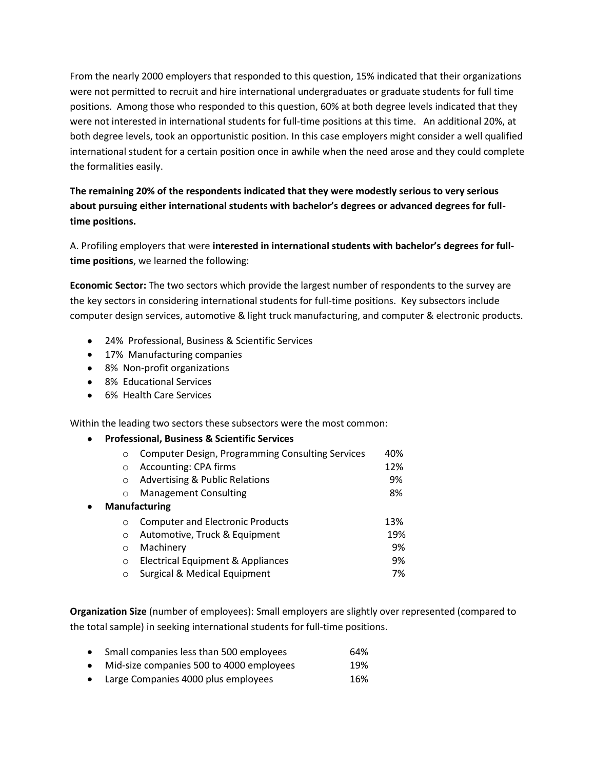From the nearly 2000 employers that responded to this question, 15% indicated that their organizations were not permitted to recruit and hire international undergraduates or graduate students for full time positions. Among those who responded to this question, 60% at both degree levels indicated that they were not interested in international students for full-time positions at this time. An additional 20%, at both degree levels, took an opportunistic position. In this case employers might consider a well qualified international student for a certain position once in awhile when the need arose and they could complete the formalities easily.

**The remaining 20% of the respondents indicated that they were modestly serious to very serious about pursuing either international students with bachelor's degrees or advanced degrees for fulltime positions.**

A. Profiling employers that were **interested in international students with bachelor's degrees for fulltime positions**, we learned the following:

**Economic Sector:** The two sectors which provide the largest number of respondents to the survey are the key sectors in considering international students for full-time positions. Key subsectors include computer design services, automotive & light truck manufacturing, and computer & electronic products.

- 24% Professional, Business & Scientific Services
- 17% Manufacturing companies
- 8% Non-profit organizations
- 8% Educational Services
- 6% Health Care Services

Within the leading two sectors these subsectors were the most common:

|                                                      | <b>Professional, Business &amp; Scientific Services</b> |     |
|------------------------------------------------------|---------------------------------------------------------|-----|
| $\circ$                                              | <b>Computer Design, Programming Consulting Services</b> | 40% |
| $\Omega$                                             | <b>Accounting: CPA firms</b>                            | 12% |
| <b>Advertising &amp; Public Relations</b><br>$\circ$ |                                                         |     |
| $\Omega$                                             | <b>Management Consulting</b>                            | 8%  |
|                                                      | <b>Manufacturing</b>                                    |     |
| $\Omega$                                             | <b>Computer and Electronic Products</b>                 | 13% |
| $\Omega$                                             | Automotive, Truck & Equipment                           | 19% |
| $\Omega$                                             | Machinery                                               | 9%  |
| O                                                    | Electrical Equipment & Appliances                       | 9%  |
| ◯                                                    | Surgical & Medical Equipment                            | 7%  |

**Organization Size** (number of employees): Small employers are slightly over represented (compared to the total sample) in seeking international students for full-time positions.

- Small companies less than 500 employees 64%
- Mid-size companies 500 to 4000 employees 19%
- Large Companies 4000 plus employees 16%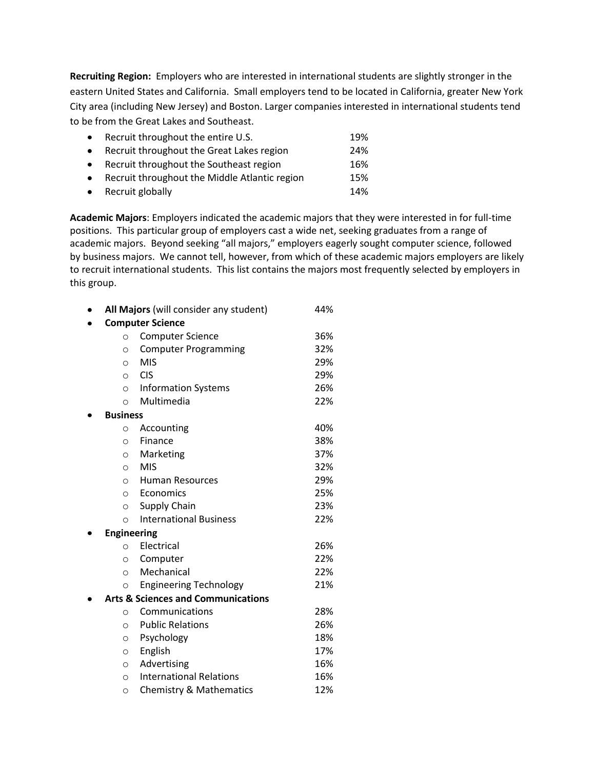**Recruiting Region:** Employers who are interested in international students are slightly stronger in the eastern United States and California. Small employers tend to be located in California, greater New York City area (including New Jersey) and Boston. Larger companies interested in international students tend to be from the Great Lakes and Southeast.

| $\bullet$ | Recruit throughout the entire U.S.            | 19% |
|-----------|-----------------------------------------------|-----|
| $\bullet$ | Recruit throughout the Great Lakes region     | 24% |
| $\bullet$ | Recruit throughout the Southeast region       | 16% |
| $\bullet$ | Recruit throughout the Middle Atlantic region | 15% |
|           | • Recruit globally                            | 14% |
|           |                                               |     |

**Academic Majors**: Employers indicated the academic majors that they were interested in for full-time positions. This particular group of employers cast a wide net, seeking graduates from a range of academic majors. Beyond seeking "all majors," employers eagerly sought computer science, followed by business majors. We cannot tell, however, from which of these academic majors employers are likely to recruit international students. This list contains the majors most frequently selected by employers in this group.

|                         | All Majors (will consider any student)        | 44% |  |  |
|-------------------------|-----------------------------------------------|-----|--|--|
| <b>Computer Science</b> |                                               |     |  |  |
| $\circ$                 | <b>Computer Science</b>                       | 36% |  |  |
| $\circ$                 | <b>Computer Programming</b>                   | 32% |  |  |
| $\circ$                 | <b>MIS</b>                                    | 29% |  |  |
| $\circ$                 | <b>CIS</b>                                    | 29% |  |  |
| $\circ$                 | <b>Information Systems</b>                    | 26% |  |  |
| $\circ$                 | Multimedia                                    | 22% |  |  |
| <b>Business</b>         |                                               |     |  |  |
| $\circ$                 | Accounting                                    | 40% |  |  |
| O                       | Finance                                       | 38% |  |  |
| O                       | Marketing                                     | 37% |  |  |
| $\circ$                 | <b>MIS</b>                                    | 32% |  |  |
| $\circ$                 | <b>Human Resources</b>                        | 29% |  |  |
| $\circ$                 | Economics                                     | 25% |  |  |
| $\circ$                 | Supply Chain                                  | 23% |  |  |
| $\circ$                 | <b>International Business</b>                 | 22% |  |  |
| <b>Engineering</b>      |                                               |     |  |  |
| O                       | Electrical                                    | 26% |  |  |
| O                       | Computer                                      | 22% |  |  |
| $\circ$                 | Mechanical                                    | 22% |  |  |
| $\circ$                 | <b>Engineering Technology</b>                 | 21% |  |  |
|                         | <b>Arts &amp; Sciences and Communications</b> |     |  |  |
| $\circ$                 | Communications                                | 28% |  |  |
| O                       | <b>Public Relations</b>                       | 26% |  |  |
| $\circ$                 | Psychology                                    | 18% |  |  |
| $\circ$                 | English                                       | 17% |  |  |
| $\circ$                 | Advertising                                   | 16% |  |  |
| $\circ$                 | <b>International Relations</b>                | 16% |  |  |
| $\circ$                 | <b>Chemistry &amp; Mathematics</b>            | 12% |  |  |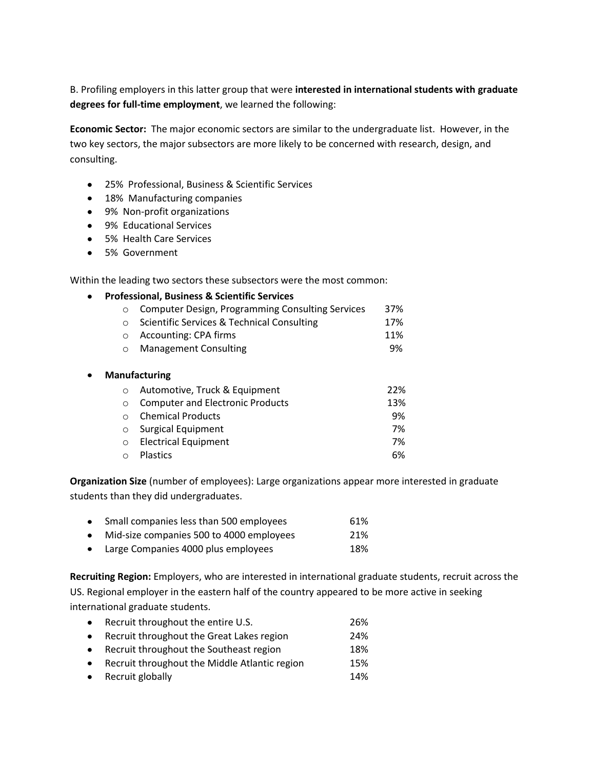B. Profiling employers in this latter group that were **interested in international students with graduate degrees for full-time employment**, we learned the following:

**Economic Sector:** The major economic sectors are similar to the undergraduate list. However, in the two key sectors, the major subsectors are more likely to be concerned with research, design, and consulting.

- 25% Professional, Business & Scientific Services
- 18% Manufacturing companies
- 9% Non-profit organizations
- 9% Educational Services
- 5% Health Care Services
- 5% Government

Within the leading two sectors these subsectors were the most common:

### **Professional, Business & Scientific Services**

| o Computer Design, Programming Consulting Services | 37% |
|----------------------------------------------------|-----|
|                                                    |     |

- o Scientific Services & Technical Consulting 17% o Accounting: CPA firms 11%
- o Management Consulting 9%

#### $\bullet$ **Manufacturing**

| $\circ$ Automotive, Truck & Equipment | 22% |
|---------------------------------------|-----|
| ○ Computer and Electronic Products    | 13% |
| ○ Chemical Products                   | 9%  |
| $\circ$ Surgical Equipment            | 7%  |
| o Electrical Equipment                | 7%  |
| <b>O</b> Plastics                     | 6%  |
|                                       |     |

**Organization Size** (number of employees): Large organizations appear more interested in graduate students than they did undergraduates.

| Small companies less than 500 employees  | 61% |
|------------------------------------------|-----|
| Mid-size companies 500 to 4000 employees | 21% |

• Large Companies 4000 plus employees 18%

**Recruiting Region:** Employers, who are interested in international graduate students, recruit across the US. Regional employer in the eastern half of the country appeared to be more active in seeking international graduate students.

| Recruit throughout the entire U.S.            | 26% |
|-----------------------------------------------|-----|
| Recruit throughout the Great Lakes region     | 24% |
| Recruit throughout the Southeast region       | 18% |
| Recruit throughout the Middle Atlantic region | 15% |
| • Recruit globally                            | 14% |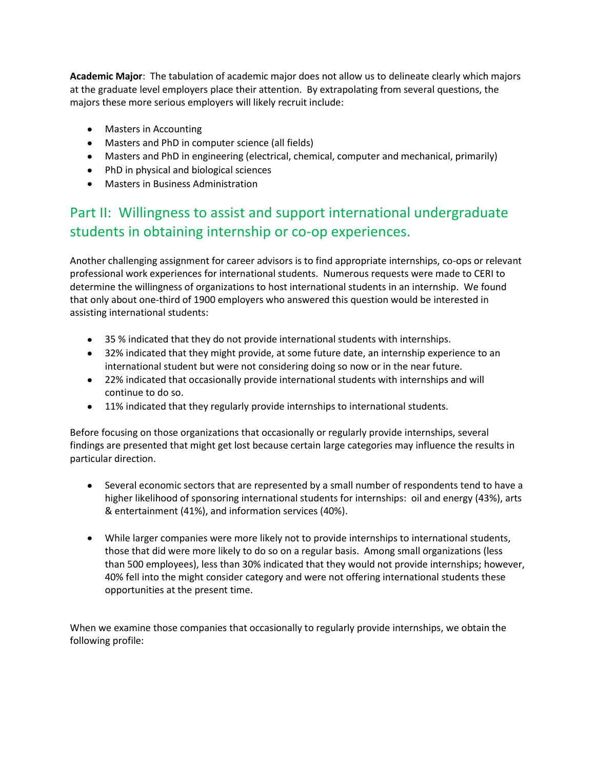**Academic Major**: The tabulation of academic major does not allow us to delineate clearly which majors at the graduate level employers place their attention. By extrapolating from several questions, the majors these more serious employers will likely recruit include:

- Masters in Accounting
- Masters and PhD in computer science (all fields)
- Masters and PhD in engineering (electrical, chemical, computer and mechanical, primarily)
- PhD in physical and biological sciences
- Masters in Business Administration

## Part II: Willingness to assist and support international undergraduate students in obtaining internship or co-op experiences.

Another challenging assignment for career advisors is to find appropriate internships, co-ops or relevant professional work experiences for international students. Numerous requests were made to CERI to determine the willingness of organizations to host international students in an internship. We found that only about one-third of 1900 employers who answered this question would be interested in assisting international students:

- 35 % indicated that they do not provide international students with internships.
- 32% indicated that they might provide, at some future date, an internship experience to an international student but were not considering doing so now or in the near future.
- 22% indicated that occasionally provide international students with internships and will continue to do so.
- 11% indicated that they regularly provide internships to international students.

Before focusing on those organizations that occasionally or regularly provide internships, several findings are presented that might get lost because certain large categories may influence the results in particular direction.

- Several economic sectors that are represented by a small number of respondents tend to have a higher likelihood of sponsoring international students for internships: oil and energy (43%), arts & entertainment (41%), and information services (40%).
- While larger companies were more likely not to provide internships to international students, those that did were more likely to do so on a regular basis. Among small organizations (less than 500 employees), less than 30% indicated that they would not provide internships; however, 40% fell into the might consider category and were not offering international students these opportunities at the present time.

When we examine those companies that occasionally to regularly provide internships, we obtain the following profile: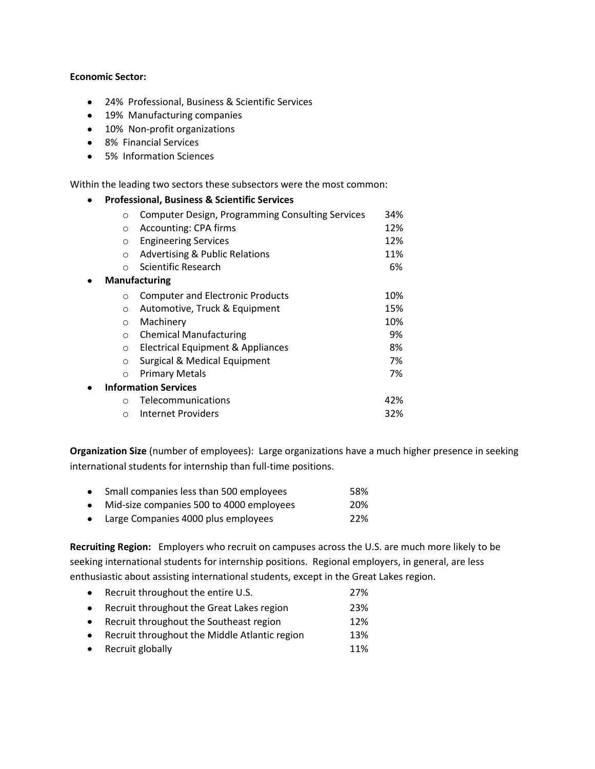#### **Economic Sector:**

 $\bullet$ 

 $\bullet$ 

- 24% Professional, Business & Scientific Services
- 19% Manufacturing companies
- 10% Non-profit organizations
- 8% Financial Services
- 5% Information Sciences

Within the leading two sectors these subsectors were the most common:

### **Professional, Business & Scientific Services**

| $\Omega$                    | <b>Computer Design, Programming Consulting Services</b> | 34% |
|-----------------------------|---------------------------------------------------------|-----|
| $\circ$                     | Accounting: CPA firms                                   | 12% |
| O                           | <b>Engineering Services</b>                             | 12% |
| $\circ$                     | <b>Advertising &amp; Public Relations</b>               | 11% |
| $\bigcap$                   | Scientific Research                                     | 6%  |
|                             | <b>Manufacturing</b>                                    |     |
| $\Omega$                    | <b>Computer and Electronic Products</b>                 | 10% |
| $\Omega$                    | Automotive, Truck & Equipment                           | 15% |
| $\Omega$                    | Machinery                                               | 10% |
| $\circ$                     | <b>Chemical Manufacturing</b>                           | 9%  |
| $\circ$                     | Electrical Equipment & Appliances                       | 8%  |
| $\circ$                     | Surgical & Medical Equipment                            | 7%  |
| $\circ$                     | <b>Primary Metals</b>                                   | 7%  |
| <b>Information Services</b> |                                                         |     |
| $\Omega$                    | Telecommunications                                      | 42% |
| $\circ$                     | Internet Providers                                      | 32% |

**Organization Size** (number of employees): Large organizations have a much higher presence in seeking international students for internship than full-time positions.

|           | • Small companies less than 500 employees | 58% |
|-----------|-------------------------------------------|-----|
| $\bullet$ | Mid-size companies 500 to 4000 employees  | 20% |
| $\bullet$ | Large Companies 4000 plus employees       | 22% |

**Recruiting Region:** Employers who recruit on campuses across the U.S. are much more likely to be seeking international students for internship positions. Regional employers, in general, are less enthusiastic about assisting international students, except in the Great Lakes region.

| $\bullet$ | Recruit throughout the entire U.S.              | 27% |
|-----------|-------------------------------------------------|-----|
| $\bullet$ | Recruit throughout the Great Lakes region       | 23% |
| $\bullet$ | Recruit throughout the Southeast region         | 12% |
|           | • Recruit throughout the Middle Atlantic region | 13% |
|           | • Recruit globally                              | 11% |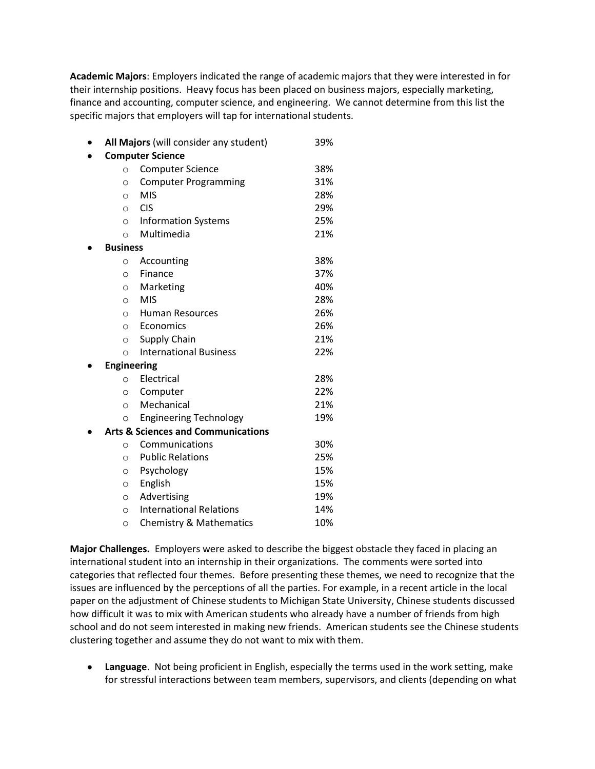**Academic Majors**: Employers indicated the range of academic majors that they were interested in for their internship positions. Heavy focus has been placed on business majors, especially marketing, finance and accounting, computer science, and engineering. We cannot determine from this list the specific majors that employers will tap for international students.

|   |                    | All Majors (will consider any student)        | 39% |
|---|--------------------|-----------------------------------------------|-----|
| ٠ |                    | <b>Computer Science</b>                       |     |
|   | $\circ$            | <b>Computer Science</b>                       | 38% |
|   | $\circ$            | <b>Computer Programming</b>                   | 31% |
|   | $\circ$            | <b>MIS</b>                                    | 28% |
|   | $\circ$            | <b>CIS</b>                                    | 29% |
|   | $\circ$            | <b>Information Systems</b>                    | 25% |
|   | $\circ$            | Multimedia                                    | 21% |
|   | <b>Business</b>    |                                               |     |
|   | $\circ$            | Accounting                                    | 38% |
|   | $\circ$            | Finance                                       | 37% |
|   | $\circ$            | Marketing                                     | 40% |
|   | $\circ$            | <b>MIS</b>                                    | 28% |
|   | $\circ$            | <b>Human Resources</b>                        | 26% |
|   | $\circ$            | Economics                                     | 26% |
|   | $\circ$            | Supply Chain                                  | 21% |
|   | $\circ$            | <b>International Business</b>                 | 22% |
|   | <b>Engineering</b> |                                               |     |
|   | $\circ$            | Electrical                                    | 28% |
|   | $\circ$            | Computer                                      | 22% |
|   | $\circ$            | Mechanical                                    | 21% |
|   | $\circ$            | <b>Engineering Technology</b>                 | 19% |
|   |                    | <b>Arts &amp; Sciences and Communications</b> |     |
|   | $\circ$            | Communications                                | 30% |
|   | $\circ$            | <b>Public Relations</b>                       | 25% |
|   | $\circ$            | Psychology                                    | 15% |
|   | $\circ$            | English                                       | 15% |
|   | $\circ$            | Advertising                                   | 19% |
|   | $\circ$            | <b>International Relations</b>                | 14% |
|   | $\circ$            | <b>Chemistry &amp; Mathematics</b>            | 10% |

**Major Challenges.** Employers were asked to describe the biggest obstacle they faced in placing an international student into an internship in their organizations. The comments were sorted into categories that reflected four themes. Before presenting these themes, we need to recognize that the issues are influenced by the perceptions of all the parties. For example, in a recent article in the local paper on the adjustment of Chinese students to Michigan State University, Chinese students discussed how difficult it was to mix with American students who already have a number of friends from high school and do not seem interested in making new friends. American students see the Chinese students clustering together and assume they do not want to mix with them.

**Language**. Not being proficient in English, especially the terms used in the work setting, make for stressful interactions between team members, supervisors, and clients (depending on what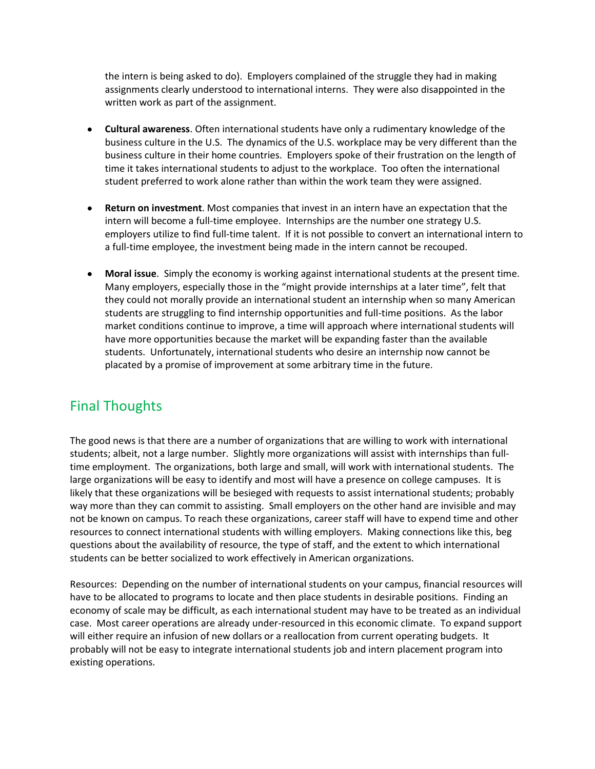the intern is being asked to do). Employers complained of the struggle they had in making assignments clearly understood to international interns. They were also disappointed in the written work as part of the assignment.

- **Cultural awareness**. Often international students have only a rudimentary knowledge of the business culture in the U.S. The dynamics of the U.S. workplace may be very different than the business culture in their home countries. Employers spoke of their frustration on the length of time it takes international students to adjust to the workplace. Too often the international student preferred to work alone rather than within the work team they were assigned.
- **Return on investment**. Most companies that invest in an intern have an expectation that the intern will become a full-time employee. Internships are the number one strategy U.S. employers utilize to find full-time talent. If it is not possible to convert an international intern to a full-time employee, the investment being made in the intern cannot be recouped.
- **Moral issue**. Simply the economy is working against international students at the present time. Many employers, especially those in the "might provide internships at a later time", felt that they could not morally provide an international student an internship when so many American students are struggling to find internship opportunities and full-time positions. As the labor market conditions continue to improve, a time will approach where international students will have more opportunities because the market will be expanding faster than the available students. Unfortunately, international students who desire an internship now cannot be placated by a promise of improvement at some arbitrary time in the future.

### Final Thoughts

The good news is that there are a number of organizations that are willing to work with international students; albeit, not a large number. Slightly more organizations will assist with internships than fulltime employment. The organizations, both large and small, will work with international students. The large organizations will be easy to identify and most will have a presence on college campuses. It is likely that these organizations will be besieged with requests to assist international students; probably way more than they can commit to assisting. Small employers on the other hand are invisible and may not be known on campus. To reach these organizations, career staff will have to expend time and other resources to connect international students with willing employers. Making connections like this, beg questions about the availability of resource, the type of staff, and the extent to which international students can be better socialized to work effectively in American organizations.

Resources: Depending on the number of international students on your campus, financial resources will have to be allocated to programs to locate and then place students in desirable positions. Finding an economy of scale may be difficult, as each international student may have to be treated as an individual case. Most career operations are already under-resourced in this economic climate. To expand support will either require an infusion of new dollars or a reallocation from current operating budgets. It probably will not be easy to integrate international students job and intern placement program into existing operations.